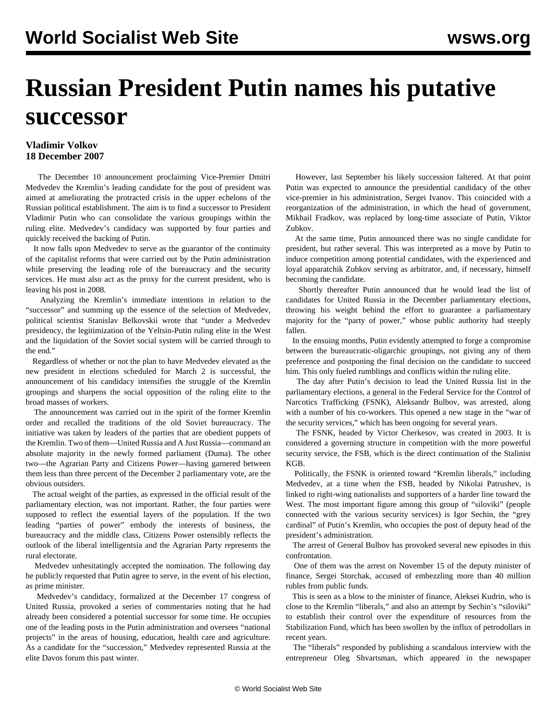## **Russian President Putin names his putative successor**

## **Vladimir Volkov 18 December 2007**

 The December 10 announcement proclaiming Vice-Premier Dmitri Medvedev the Kremlin's leading candidate for the post of president was aimed at ameliorating the protracted crisis in the upper echelons of the Russian political establishment. The aim is to find a successor to President Vladimir Putin who can consolidate the various groupings within the ruling elite. Medvedev's candidacy was supported by four parties and quickly received the backing of Putin.

 It now falls upon Medvedev to serve as the guarantor of the continuity of the capitalist reforms that were carried out by the Putin administration while preserving the leading role of the bureaucracy and the security services. He must also act as the proxy for the current president, who is leaving his post in 2008.

 Analyzing the Kremlin's immediate intentions in relation to the "successor" and summing up the essence of the selection of Medvedev, political scientist Stanislav Belkovskii wrote that "under a Medvedev presidency, the legitimization of the Yeltsin-Putin ruling elite in the West and the liquidation of the Soviet social system will be carried through to the end."

 Regardless of whether or not the plan to have Medvedev elevated as the new president in elections scheduled for March 2 is successful, the announcement of his candidacy intensifies the struggle of the Kremlin groupings and sharpens the social opposition of the ruling elite to the broad masses of workers.

 The announcement was carried out in the spirit of the former Kremlin order and recalled the traditions of the old Soviet bureaucracy. The initiative was taken by leaders of the parties that are obedient puppets of the Kremlin. Two of them—United Russia and A Just Russia—command an absolute majority in the newly formed parliament (Duma). The other two—the Agrarian Party and Citizens Power—having garnered between them less than three percent of the December 2 parliamentary vote, are the obvious outsiders.

 The actual weight of the parties, as expressed in the official result of the parliamentary election, was not important. Rather, the four parties were supposed to reflect the essential layers of the population. If the two leading "parties of power" embody the interests of business, the bureaucracy and the middle class, Citizens Power ostensibly reflects the outlook of the liberal intelligentsia and the Agrarian Party represents the rural electorate.

 Medvedev unhesitatingly accepted the nomination. The following day he publicly requested that Putin agree to serve, in the event of his election, as prime minister.

 Medvedev's candidacy, formalized at the December 17 congress of United Russia, provoked a series of commentaries noting that he had already been considered a potential successor for some time. He occupies one of the leading posts in the Putin administration and oversees "national projects" in the areas of housing, education, health care and agriculture. As a candidate for the "succession," Medvedev represented Russia at the elite Davos forum this past winter.

 However, last September his likely succession faltered. At that point Putin was expected to announce the presidential candidacy of the other vice-premier in his administration, Sergei Ivanov. This coincided with a reorganization of the administration, in which the head of government, Mikhail Fradkov, was replaced by long-time associate of Putin, Viktor Zubkov.

 At the same time, Putin announced there was no single candidate for president, but rather several. This was interpreted as a move by Putin to induce competition among potential candidates, with the experienced and loyal apparatchik Zubkov serving as arbitrator, and, if necessary, himself becoming the candidate.

 Shortly thereafter Putin announced that he would lead the list of candidates for United Russia in the December parliamentary elections, throwing his weight behind the effort to guarantee a parliamentary majority for the "party of power," whose public authority had steeply fallen.

 In the ensuing months, Putin evidently attempted to forge a compromise between the bureaucratic-oligarchic groupings, not giving any of them preference and postponing the final decision on the candidate to succeed him. This only fueled rumblings and conflicts within the ruling elite.

 The day after Putin's decision to lead the United Russia list in the parliamentary elections, a general in the Federal Service for the Control of Narcotics Trafficking (FSNK), Aleksandr Bulbov, was arrested, along with a number of his co-workers. This opened a new stage in the "war of the security services," which has been ongoing for several years.

 The FSNK, headed by Victor Cherkesov, was created in 2003. It is considered a governing structure in competition with the more powerful security service, the FSB, which is the direct continuation of the Stalinist KGB.

 Politically, the FSNK is oriented toward "Kremlin liberals," including Medvedev, at a time when the FSB, headed by Nikolai Patrushev, is linked to right-wing nationalists and supporters of a harder line toward the West. The most important figure among this group of "siloviki" (people connected with the various security services) is Igor Sechin, the "grey cardinal" of Putin's Kremlin, who occupies the post of deputy head of the president's administration.

 The arrest of General Bulbov has provoked several new episodes in this confrontation.

 One of them was the arrest on November 15 of the deputy minister of finance, Sergei Storchak, accused of embezzling more than 40 million rubles from public funds.

 This is seen as a blow to the minister of finance, Aleksei Kudrin, who is close to the Kremlin "liberals," and also an attempt by Sechin's "siloviki" to establish their control over the expenditure of resources from the Stabilization Fund, which has been swollen by the influx of petrodollars in recent years.

 The "liberals" responded by publishing a scandalous interview with the entrepreneur Oleg Shvartsman, which appeared in the newspaper